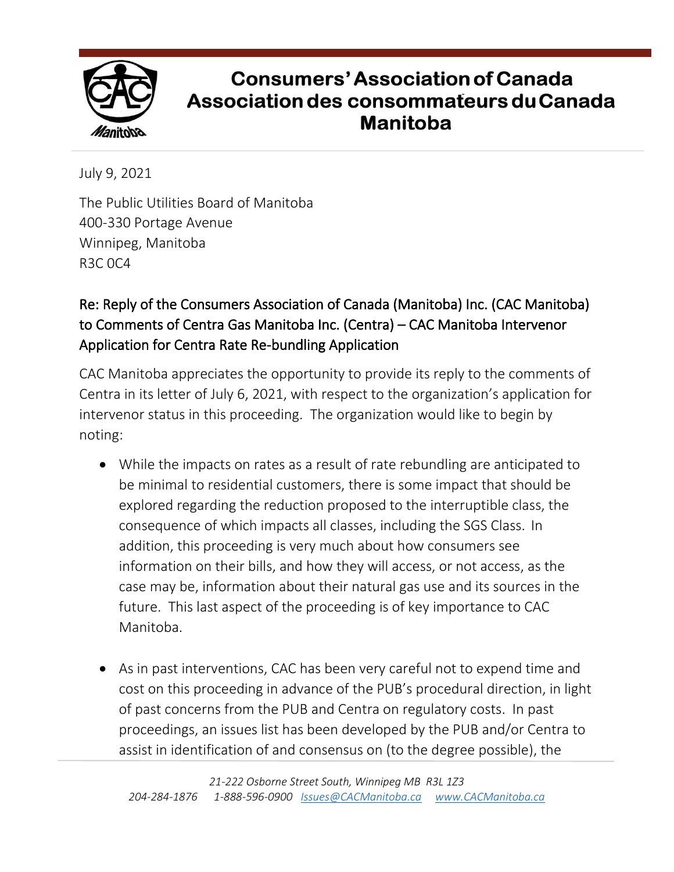

## **Consumers' Association of Canada** Association des consommateurs du Canada **Manitoba**

July 9, 2021

The Public Utilities Board of Manitoba 400-330 Portage Avenue Winnipeg, Manitoba R3C 0C4

## Re: Reply of the Consumers Association of Canada (Manitoba) Inc. (CAC Manitoba) to Comments of Centra Gas Manitoba Inc. (Centra) – CAC Manitoba Intervenor Application for Centra Rate Re-bundling Application

CAC Manitoba appreciates the opportunity to provide its reply to the comments of Centra in its letter of July 6, 2021, with respect to the organization's application for intervenor status in this proceeding. The organization would like to begin by noting:

- While the impacts on rates as a result of rate rebundling are anticipated to be minimal to residential customers, there is some impact that should be explored regarding the reduction proposed to the interruptible class, the consequence of which impacts all classes, including the SGS Class. In addition, this proceeding is very much about how consumers see information on their bills, and how they will access, or not access, as the case may be, information about their natural gas use and its sources in the future. This last aspect of the proceeding is of key importance to CAC Manitoba.
- As in past interventions, CAC has been very careful not to expend time and cost on this proceeding in advance of the PUB's procedural direction, in light of past concerns from the PUB and Centra on regulatory costs. In past proceedings, an issues list has been developed by the PUB and/or Centra to assist in identification of and consensus on (to the degree possible), the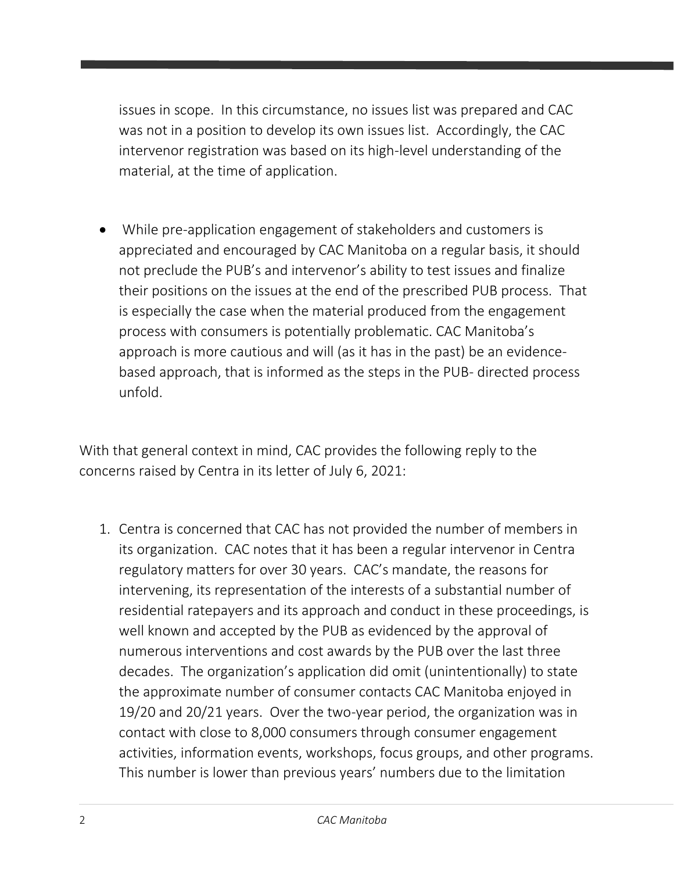issues in scope. In this circumstance, no issues list was prepared and CAC was not in a position to develop its own issues list. Accordingly, the CAC intervenor registration was based on its high-level understanding of the material, at the time of application.

• While pre-application engagement of stakeholders and customers is appreciated and encouraged by CAC Manitoba on a regular basis, it should not preclude the PUB's and intervenor's ability to test issues and finalize their positions on the issues at the end of the prescribed PUB process. That is especially the case when the material produced from the engagement process with consumers is potentially problematic. CAC Manitoba's approach is more cautious and will (as it has in the past) be an evidencebased approach, that is informed as the steps in the PUB- directed process unfold.

With that general context in mind, CAC provides the following reply to the concerns raised by Centra in its letter of July 6, 2021:

1. Centra is concerned that CAC has not provided the number of members in its organization. CAC notes that it has been a regular intervenor in Centra regulatory matters for over 30 years. CAC's mandate, the reasons for intervening, its representation of the interests of a substantial number of residential ratepayers and its approach and conduct in these proceedings, is well known and accepted by the PUB as evidenced by the approval of numerous interventions and cost awards by the PUB over the last three decades. The organization's application did omit (unintentionally) to state the approximate number of consumer contacts CAC Manitoba enjoyed in 19/20 and 20/21 years. Over the two-year period, the organization was in contact with close to 8,000 consumers through consumer engagement activities, information events, workshops, focus groups, and other programs. This number is lower than previous years' numbers due to the limitation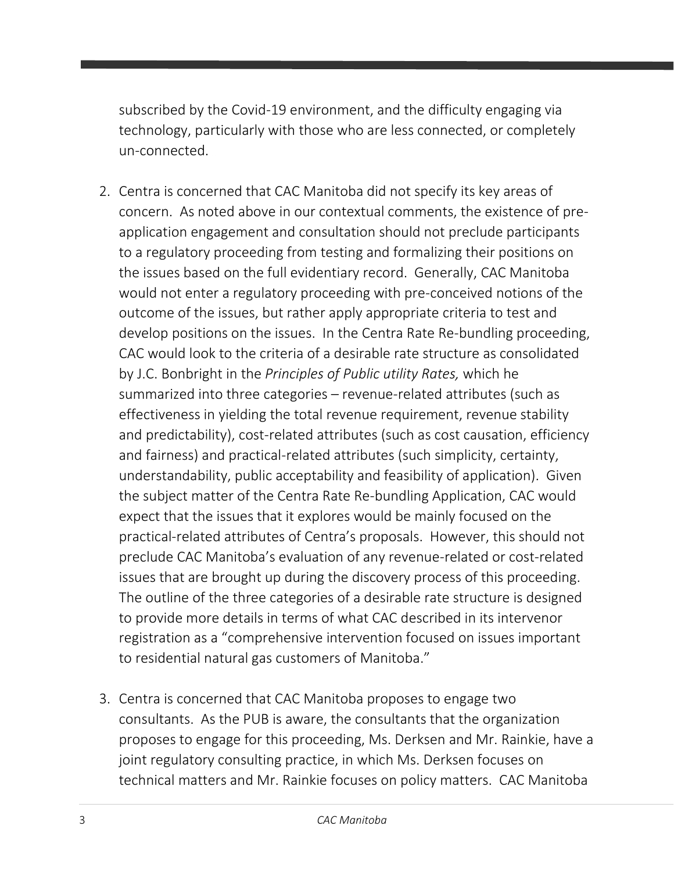subscribed by the Covid-19 environment, and the difficulty engaging via technology, particularly with those who are less connected, or completely un-connected.

- 2. Centra is concerned that CAC Manitoba did not specify its key areas of concern. As noted above in our contextual comments, the existence of preapplication engagement and consultation should not preclude participants to a regulatory proceeding from testing and formalizing their positions on the issues based on the full evidentiary record. Generally, CAC Manitoba would not enter a regulatory proceeding with pre-conceived notions of the outcome of the issues, but rather apply appropriate criteria to test and develop positions on the issues. In the Centra Rate Re-bundling proceeding, CAC would look to the criteria of a desirable rate structure as consolidated by J.C. Bonbright in the *Principles of Public utility Rates,* which he summarized into three categories – revenue-related attributes (such as effectiveness in yielding the total revenue requirement, revenue stability and predictability), cost-related attributes (such as cost causation, efficiency and fairness) and practical-related attributes (such simplicity, certainty, understandability, public acceptability and feasibility of application). Given the subject matter of the Centra Rate Re-bundling Application, CAC would expect that the issues that it explores would be mainly focused on the practical-related attributes of Centra's proposals. However, this should not preclude CAC Manitoba's evaluation of any revenue-related or cost-related issues that are brought up during the discovery process of this proceeding. The outline of the three categories of a desirable rate structure is designed to provide more details in terms of what CAC described in its intervenor registration as a "comprehensive intervention focused on issues important to residential natural gas customers of Manitoba."
- 3. Centra is concerned that CAC Manitoba proposes to engage two consultants. As the PUB is aware, the consultants that the organization proposes to engage for this proceeding, Ms. Derksen and Mr. Rainkie, have a joint regulatory consulting practice, in which Ms. Derksen focuses on technical matters and Mr. Rainkie focuses on policy matters. CAC Manitoba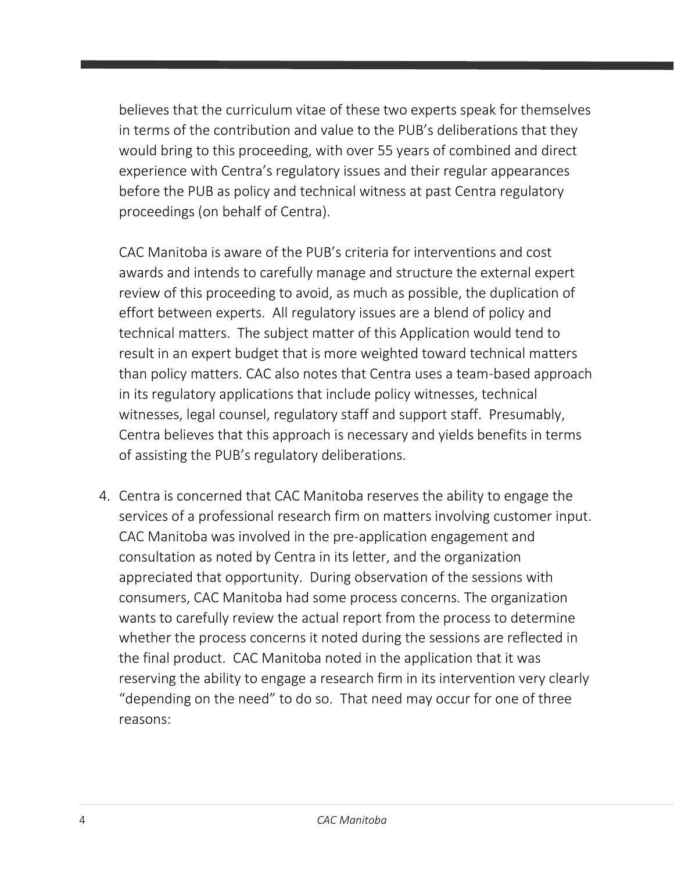believes that the curriculum vitae of these two experts speak for themselves in terms of the contribution and value to the PUB's deliberations that they would bring to this proceeding, with over 55 years of combined and direct experience with Centra's regulatory issues and their regular appearances before the PUB as policy and technical witness at past Centra regulatory proceedings (on behalf of Centra).

CAC Manitoba is aware of the PUB's criteria for interventions and cost awards and intends to carefully manage and structure the external expert review of this proceeding to avoid, as much as possible, the duplication of effort between experts. All regulatory issues are a blend of policy and technical matters. The subject matter of this Application would tend to result in an expert budget that is more weighted toward technical matters than policy matters. CAC also notes that Centra uses a team-based approach in its regulatory applications that include policy witnesses, technical witnesses, legal counsel, regulatory staff and support staff. Presumably, Centra believes that this approach is necessary and yields benefits in terms of assisting the PUB's regulatory deliberations.

4. Centra is concerned that CAC Manitoba reserves the ability to engage the services of a professional research firm on matters involving customer input. CAC Manitoba was involved in the pre-application engagement and consultation as noted by Centra in its letter, and the organization appreciated that opportunity. During observation of the sessions with consumers, CAC Manitoba had some process concerns. The organization wants to carefully review the actual report from the process to determine whether the process concerns it noted during the sessions are reflected in the final product. CAC Manitoba noted in the application that it was reserving the ability to engage a research firm in its intervention very clearly "depending on the need" to do so. That need may occur for one of three reasons: